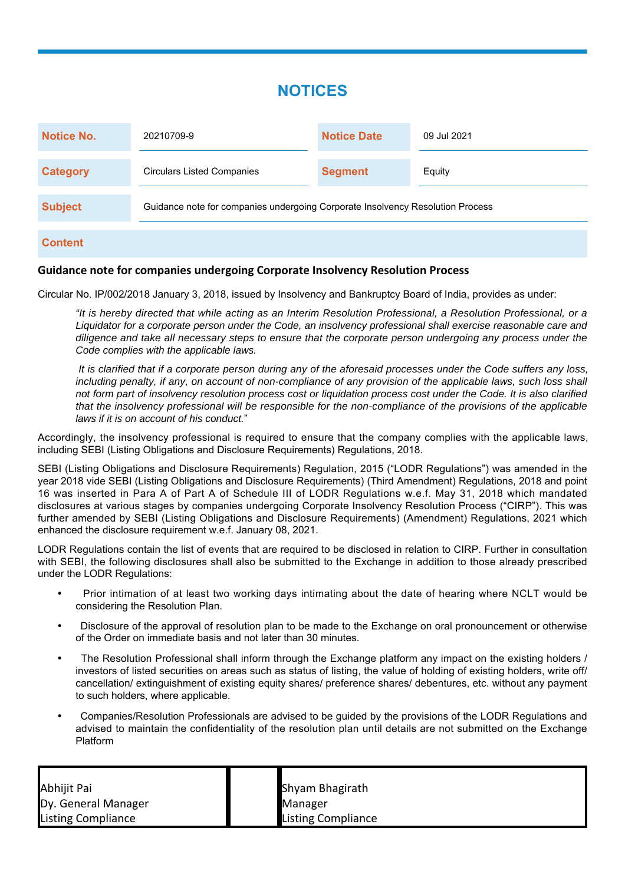## **NOTICES**

| Notice No.      | 20210709-9                                                                     | <b>Notice Date</b> | 09 Jul 2021 |
|-----------------|--------------------------------------------------------------------------------|--------------------|-------------|
| <b>Category</b> | <b>Circulars Listed Companies</b>                                              | <b>Segment</b>     | Equity      |
| <b>Subject</b>  | Guidance note for companies undergoing Corporate Insolvency Resolution Process |                    |             |
| <b>Content</b>  |                                                                                |                    |             |

## **Guidance note for companies undergoing Corporate Insolvency Resolution Process**

Circular No. IP/002/2018 January 3, 2018, issued by Insolvency and Bankruptcy Board of India, provides as under:

"It is hereby directed that while acting as an Interim Resolution Professional, a Resolution Professional, or a Liquidator for a corporate person under the Code, an insolvency professional shall exercise reasonable care and diligence and take all necessary steps to ensure that the corporate person undergoing any process under the Code complies with the applicable laws.

It is clarified that if a corporate person during any of the aforesaid processes under the Code suffers any loss, including penalty, if any, on account of non-compliance of any provision of the applicable laws, such loss shall not form part of insolvency resolution process cost or liquidation process cost under the Code. It is also clarified that the insolvency professional will be responsible for the non-compliance of the provisions of the applicable laws if it is on account of his conduct."

Accordingly, the insolvency professional is required to ensure that the company complies with the applicable laws, including SEBI (Listing Obligations and Disclosure Requirements) Regulations, 2018.

SEBI (Listing Obligations and Disclosure Requirements) Regulation, 2015 ("LODR Regulations") was amended in the year 2018 vide SEBI (Listing Obligations and Disclosure Requirements) (Third Amendment) Regulations, 2018 and point 16 was inserted in Para A of Part A of Schedule III of LODR Regulations w.e.f. May 31, 2018 which mandated disclosures at various stages by companies undergoing Corporate Insolvency Resolution Process ("CIRP"). This was further amended by SEBI (Listing Obligations and Disclosure Requirements) (Amendment) Regulations, 2021 which enhanced the disclosure requirement w.e.f. January 08, 2021.

LODR Regulations contain the list of events that are required to be disclosed in relation to CIRP. Further in consultation with SEBI, the following disclosures shall also be submitted to the Exchange in addition to those already prescribed under the LODR Regulations:

- Prior intimation of at least two working days intimating about the date of hearing where NCLT would be considering the Resolution Plan.
- Disclosure of the approval of resolution plan to be made to the Exchange on oral pronouncement or otherwise of the Order on immediate basis and not later than 30 minutes.
- The Resolution Professional shall inform through the Exchange platform any impact on the existing holders / investors of listed securities on areas such as status of listing, the value of holding of existing holders, write off/ cancellation/ extinguishment of existing equity shares/ preference shares/ debentures, etc. without any payment to such holders, where applicable.
- Companies/Resolution Professionals are advised to be guided by the provisions of the LODR Regulations and advised to maintain the confidentiality of the resolution plan until details are not submitted on the Exchange Platform

| Abhijit Pai               | <b>Shyam Bhagirath</b>    |
|---------------------------|---------------------------|
| Dy. General Manager       | Manager                   |
| <b>Listing Compliance</b> | <b>Listing Compliance</b> |